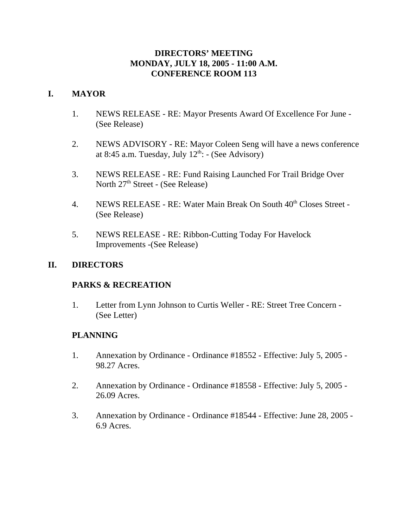### **DIRECTORS' MEETING MONDAY, JULY 18, 2005 - 11:00 A.M. CONFERENCE ROOM 113**

### **I. MAYOR**

- 1. NEWS RELEASE RE: Mayor Presents Award Of Excellence For June (See Release)
- 2. NEWS ADVISORY RE: Mayor Coleen Seng will have a news conference at 8:45 a.m. Tuesday, July  $12^{th}$ : - (See Advisory)
- 3. NEWS RELEASE RE: Fund Raising Launched For Trail Bridge Over North 27<sup>th</sup> Street - (See Release)
- 4. NEWS RELEASE RE: Water Main Break On South 40<sup>th</sup> Closes Street -(See Release)
- 5. NEWS RELEASE RE: Ribbon-Cutting Today For Havelock Improvements -(See Release)

### **II. DIRECTORS**

### **PARKS & RECREATION**

1. Letter from Lynn Johnson to Curtis Weller - RE: Street Tree Concern - (See Letter)

### **PLANNING**

- 1. Annexation by Ordinance Ordinance #18552 Effective: July 5, 2005 98.27 Acres.
- 2. Annexation by Ordinance Ordinance #18558 Effective: July 5, 2005 26.09 Acres.
- 3. Annexation by Ordinance Ordinance #18544 Effective: June 28, 2005 6.9 Acres.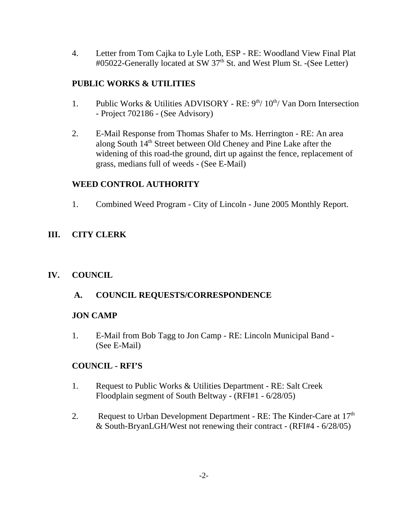4. Letter from Tom Cajka to Lyle Loth, ESP - RE: Woodland View Final Plat #05022-Generally located at SW 37<sup>th</sup> St. and West Plum St. -(See Letter)

# **PUBLIC WORKS & UTILITIES**

- 1. Public Works & Utilities ADVISORY RE:  $9<sup>th</sup>/10<sup>th</sup>/$  Van Dorn Intersection - Project 702186 - (See Advisory)
- 2. E-Mail Response from Thomas Shafer to Ms. Herrington RE: An area along South 14<sup>th</sup> Street between Old Cheney and Pine Lake after the widening of this road-the ground, dirt up against the fence, replacement of grass, medians full of weeds - (See E-Mail)

# **WEED CONTROL AUTHORITY**

1. Combined Weed Program - City of Lincoln - June 2005 Monthly Report.

# **III. CITY CLERK**

# **IV. COUNCIL**

 **A. COUNCIL REQUESTS/CORRESPONDENCE**

### **JON CAMP**

1. E-Mail from Bob Tagg to Jon Camp - RE: Lincoln Municipal Band - (See E-Mail)

# **COUNCIL - RFI'S**

- 1. Request to Public Works & Utilities Department RE: Salt Creek Floodplain segment of South Beltway - (RFI#1 - 6/28/05)
- 2. Request to Urban Development Department RE: The Kinder-Care at  $17<sup>th</sup>$ & South-BryanLGH/West not renewing their contract - (RFI#4 - 6/28/05)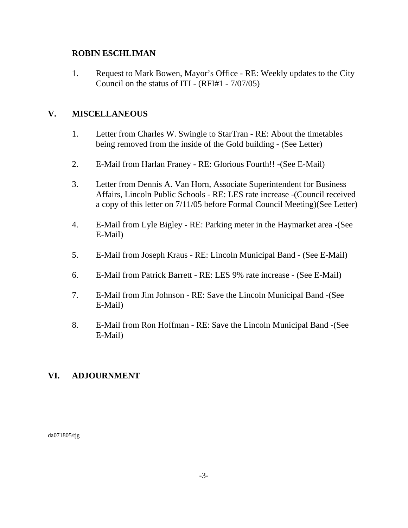### **ROBIN ESCHLIMAN**

1. Request to Mark Bowen, Mayor's Office - RE: Weekly updates to the City Council on the status of ITI - (RFI#1 - 7/07/05)

## **V. MISCELLANEOUS**

- 1. Letter from Charles W. Swingle to StarTran RE: About the timetables being removed from the inside of the Gold building - (See Letter)
- 2. E-Mail from Harlan Franey RE: Glorious Fourth!! -(See E-Mail)
- 3. Letter from Dennis A. Van Horn, Associate Superintendent for Business Affairs, Lincoln Public Schools - RE: LES rate increase -(Council received a copy of this letter on 7/11/05 before Formal Council Meeting)(See Letter)
- 4. E-Mail from Lyle Bigley RE: Parking meter in the Haymarket area -(See E-Mail)
- 5. E-Mail from Joseph Kraus RE: Lincoln Municipal Band (See E-Mail)
- 6. E-Mail from Patrick Barrett RE: LES 9% rate increase (See E-Mail)
- 7. E-Mail from Jim Johnson RE: Save the Lincoln Municipal Band -(See E-Mail)
- 8. E-Mail from Ron Hoffman RE: Save the Lincoln Municipal Band -(See E-Mail)

### **VI. ADJOURNMENT**

da071805/tjg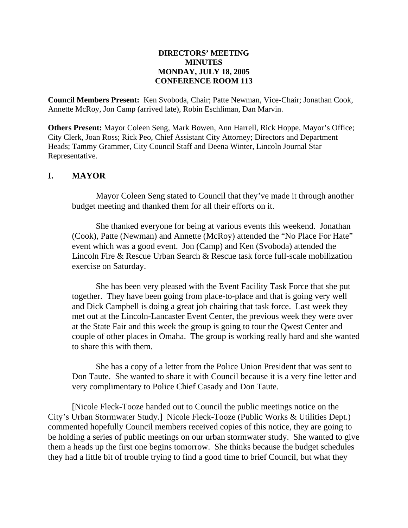#### **DIRECTORS' MEETING MINUTES MONDAY, JULY 18, 2005 CONFERENCE ROOM 113**

**Council Members Present:** Ken Svoboda, Chair; Patte Newman, Vice-Chair; Jonathan Cook, Annette McRoy, Jon Camp (arrived late), Robin Eschliman, Dan Marvin.

**Others Present:** Mayor Coleen Seng, Mark Bowen, Ann Harrell, Rick Hoppe, Mayor's Office; City Clerk, Joan Ross; Rick Peo, Chief Assistant City Attorney; Directors and Department Heads; Tammy Grammer, City Council Staff and Deena Winter, Lincoln Journal Star Representative.

### **I. MAYOR**

Mayor Coleen Seng stated to Council that they've made it through another budget meeting and thanked them for all their efforts on it.

She thanked everyone for being at various events this weekend. Jonathan (Cook), Patte (Newman) and Annette (McRoy) attended the "No Place For Hate" event which was a good event. Jon (Camp) and Ken (Svoboda) attended the Lincoln Fire & Rescue Urban Search & Rescue task force full-scale mobilization exercise on Saturday.

She has been very pleased with the Event Facility Task Force that she put together. They have been going from place-to-place and that is going very well and Dick Campbell is doing a great job chairing that task force. Last week they met out at the Lincoln-Lancaster Event Center, the previous week they were over at the State Fair and this week the group is going to tour the Qwest Center and couple of other places in Omaha. The group is working really hard and she wanted to share this with them.

She has a copy of a letter from the Police Union President that was sent to Don Taute. She wanted to share it with Council because it is a very fine letter and very complimentary to Police Chief Casady and Don Taute.

[Nicole Fleck-Tooze handed out to Council the public meetings notice on the City's Urban Stormwater Study.] Nicole Fleck-Tooze (Public Works & Utilities Dept.) commented hopefully Council members received copies of this notice, they are going to be holding a series of public meetings on our urban stormwater study. She wanted to give them a heads up the first one begins tomorrow. She thinks because the budget schedules they had a little bit of trouble trying to find a good time to brief Council, but what they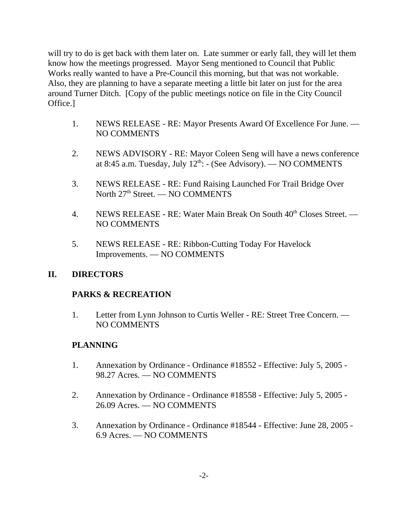will try to do is get back with them later on. Late summer or early fall, they will let them know how the meetings progressed. Mayor Seng mentioned to Council that Public Works really wanted to have a Pre-Council this morning, but that was not workable. Also, they are planning to have a separate meeting a little bit later on just for the area around Turner Ditch. [Copy of the public meetings notice on file in the City Council Office.]

- 1. NEWS RELEASE RE: Mayor Presents Award Of Excellence For June. NO COMMENTS
- 2. NEWS ADVISORY RE: Mayor Coleen Seng will have a news conference at 8:45 a.m. Tuesday, July  $12^{th}$ : - (See Advisory). — NO COMMENTS
- 3. NEWS RELEASE RE: Fund Raising Launched For Trail Bridge Over North 27<sup>th</sup> Street. — NO COMMENTS
- 4. NEWS RELEASE RE: Water Main Break On South 40<sup>th</sup> Closes Street. NO COMMENTS
- 5. NEWS RELEASE RE: Ribbon-Cutting Today For Havelock Improvements. — NO COMMENTS

### **II. DIRECTORS**

# **PARKS & RECREATION**

1. Letter from Lynn Johnson to Curtis Weller - RE: Street Tree Concern. — NO COMMENTS

# **PLANNING**

- 1. Annexation by Ordinance Ordinance #18552 Effective: July 5, 2005 98.27 Acres. — NO COMMENTS
- 2. Annexation by Ordinance Ordinance #18558 Effective: July 5, 2005 26.09 Acres. — NO COMMENTS
- 3. Annexation by Ordinance Ordinance #18544 Effective: June 28, 2005 6.9 Acres. — NO COMMENTS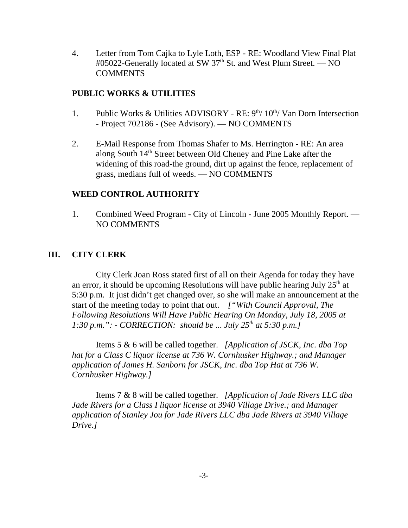4. Letter from Tom Cajka to Lyle Loth, ESP - RE: Woodland View Final Plat #05022-Generally located at SW 37<sup>th</sup> St. and West Plum Street. — NO **COMMENTS** 

### **PUBLIC WORKS & UTILITIES**

- 1. Public Works & Utilities ADVISORY RE:  $9<sup>th</sup>/10<sup>th</sup>/$  Van Dorn Intersection - Project 702186 - (See Advisory). — NO COMMENTS
- 2. E-Mail Response from Thomas Shafer to Ms. Herrington RE: An area along South 14<sup>th</sup> Street between Old Cheney and Pine Lake after the widening of this road-the ground, dirt up against the fence, replacement of grass, medians full of weeds. — NO COMMENTS

### **WEED CONTROL AUTHORITY**

1. Combined Weed Program - City of Lincoln - June 2005 Monthly Report. — NO COMMENTS

### **III. CITY CLERK**

City Clerk Joan Ross stated first of all on their Agenda for today they have an error, it should be upcoming Resolutions will have public hearing July  $25<sup>th</sup>$  at 5:30 p.m. It just didn't get changed over, so she will make an announcement at the start of the meeting today to point that out. *["With Council Approval, The Following Resolutions Will Have Public Hearing On Monday, July 18, 2005 at 1:30 p.m.": - CORRECTION: should be ... July 25<sup>th</sup> at 5:30 p.m.]* 

Items 5 & 6 will be called together. *[Application of JSCK, Inc. dba Top hat for a Class C liquor license at 736 W. Cornhusker Highway.; and Manager application of James H. Sanborn for JSCK, Inc. dba Top Hat at 736 W. Cornhusker Highway.]* 

Items 7 & 8 will be called together. *[Application of Jade Rivers LLC dba Jade Rivers for a Class I liquor license at 3940 Village Drive.; and Manager application of Stanley Jou for Jade Rivers LLC dba Jade Rivers at 3940 Village Drive.]*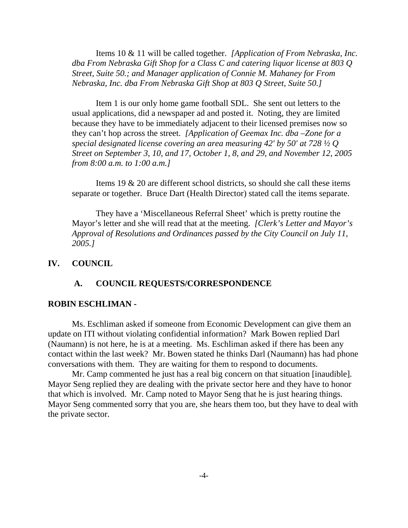Items 10 & 11 will be called together. *[Application of From Nebraska, Inc. dba From Nebraska Gift Shop for a Class C and catering liquor license at 803 Q Street, Suite 50.; and Manager application of Connie M. Mahaney for From Nebraska, Inc. dba From Nebraska Gift Shop at 803 Q Street, Suite 50.]*

Item 1 is our only home game football SDL. She sent out letters to the usual applications, did a newspaper ad and posted it. Noting, they are limited because they have to be immediately adjacent to their licensed premises now so they can't hop across the street. *[Application of Geemax Inc. dba –Zone for a special designated license covering an area measuring 42' by 50' at 728 ½ Q Street on September 3, 10, and 17, October 1, 8, and 29, and November 12, 2005 from 8:00 a.m. to 1:00 a.m.]* 

Items 19 & 20 are different school districts, so should she call these items separate or together. Bruce Dart (Health Director) stated call the items separate.

They have a 'Miscellaneous Referral Sheet' which is pretty routine the Mayor's letter and she will read that at the meeting. *[Clerk's Letter and Mayor's Approval of Resolutions and Ordinances passed by the City Council on July 11, 2005.]* 

#### **IV. COUNCIL**

#### **A. COUNCIL REQUESTS/CORRESPONDENCE**

#### **ROBIN ESCHLIMAN -**

Ms. Eschliman asked if someone from Economic Development can give them an update on ITI without violating confidential information? Mark Bowen replied Darl (Naumann) is not here, he is at a meeting. Ms. Eschliman asked if there has been any contact within the last week? Mr. Bowen stated he thinks Darl (Naumann) has had phone conversations with them. They are waiting for them to respond to documents.

Mr. Camp commented he just has a real big concern on that situation [inaudible]. Mayor Seng replied they are dealing with the private sector here and they have to honor that which is involved. Mr. Camp noted to Mayor Seng that he is just hearing things. Mayor Seng commented sorry that you are, she hears them too, but they have to deal with the private sector.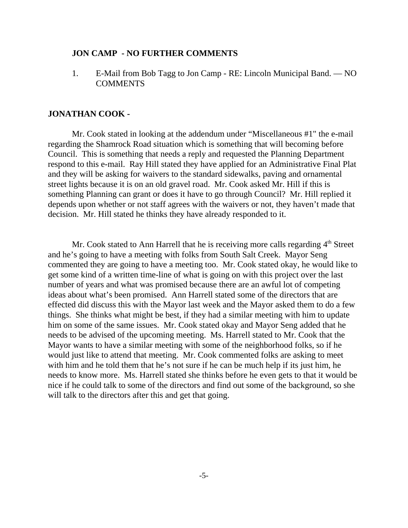#### **JON CAMP - NO FURTHER COMMENTS**

1. E-Mail from Bob Tagg to Jon Camp - RE: Lincoln Municipal Band. — NO COMMENTS

#### **JONATHAN COOK -**

Mr. Cook stated in looking at the addendum under "Miscellaneous #1" the e-mail regarding the Shamrock Road situation which is something that will becoming before Council. This is something that needs a reply and requested the Planning Department respond to this e-mail. Ray Hill stated they have applied for an Administrative Final Plat and they will be asking for waivers to the standard sidewalks, paving and ornamental street lights because it is on an old gravel road. Mr. Cook asked Mr. Hill if this is something Planning can grant or does it have to go through Council? Mr. Hill replied it depends upon whether or not staff agrees with the waivers or not, they haven't made that decision. Mr. Hill stated he thinks they have already responded to it.

Mr. Cook stated to Ann Harrell that he is receiving more calls regarding 4<sup>th</sup> Street and he's going to have a meeting with folks from South Salt Creek. Mayor Seng commented they are going to have a meeting too. Mr. Cook stated okay, he would like to get some kind of a written time-line of what is going on with this project over the last number of years and what was promised because there are an awful lot of competing ideas about what's been promised. Ann Harrell stated some of the directors that are effected did discuss this with the Mayor last week and the Mayor asked them to do a few things. She thinks what might be best, if they had a similar meeting with him to update him on some of the same issues. Mr. Cook stated okay and Mayor Seng added that he needs to be advised of the upcoming meeting. Ms. Harrell stated to Mr. Cook that the Mayor wants to have a similar meeting with some of the neighborhood folks, so if he would just like to attend that meeting. Mr. Cook commented folks are asking to meet with him and he told them that he's not sure if he can be much help if its just him, he needs to know more. Ms. Harrell stated she thinks before he even gets to that it would be nice if he could talk to some of the directors and find out some of the background, so she will talk to the directors after this and get that going.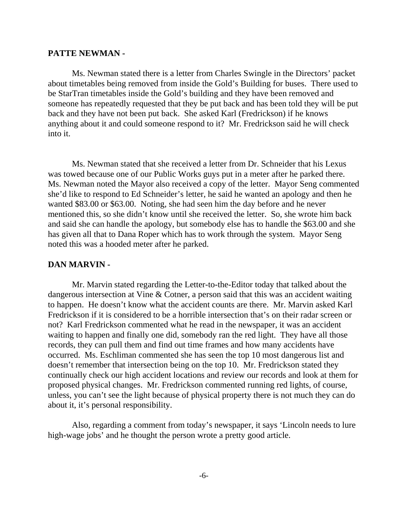#### **PATTE NEWMAN -**

Ms. Newman stated there is a letter from Charles Swingle in the Directors' packet about timetables being removed from inside the Gold's Building for buses. There used to be StarTran timetables inside the Gold's building and they have been removed and someone has repeatedly requested that they be put back and has been told they will be put back and they have not been put back. She asked Karl (Fredrickson) if he knows anything about it and could someone respond to it? Mr. Fredrickson said he will check into it.

Ms. Newman stated that she received a letter from Dr. Schneider that his Lexus was towed because one of our Public Works guys put in a meter after he parked there. Ms. Newman noted the Mayor also received a copy of the letter. Mayor Seng commented she'd like to respond to Ed Schneider's letter, he said he wanted an apology and then he wanted \$83.00 or \$63.00. Noting, she had seen him the day before and he never mentioned this, so she didn't know until she received the letter. So, she wrote him back and said she can handle the apology, but somebody else has to handle the \$63.00 and she has given all that to Dana Roper which has to work through the system. Mayor Seng noted this was a hooded meter after he parked.

#### **DAN MARVIN -**

Mr. Marvin stated regarding the Letter-to-the-Editor today that talked about the dangerous intersection at Vine & Cotner, a person said that this was an accident waiting to happen. He doesn't know what the accident counts are there. Mr. Marvin asked Karl Fredrickson if it is considered to be a horrible intersection that's on their radar screen or not? Karl Fredrickson commented what he read in the newspaper, it was an accident waiting to happen and finally one did, somebody ran the red light. They have all those records, they can pull them and find out time frames and how many accidents have occurred. Ms. Eschliman commented she has seen the top 10 most dangerous list and doesn't remember that intersection being on the top 10. Mr. Fredrickson stated they continually check our high accident locations and review our records and look at them for proposed physical changes. Mr. Fredrickson commented running red lights, of course, unless, you can't see the light because of physical property there is not much they can do about it, it's personal responsibility.

Also, regarding a comment from today's newspaper, it says 'Lincoln needs to lure high-wage jobs' and he thought the person wrote a pretty good article.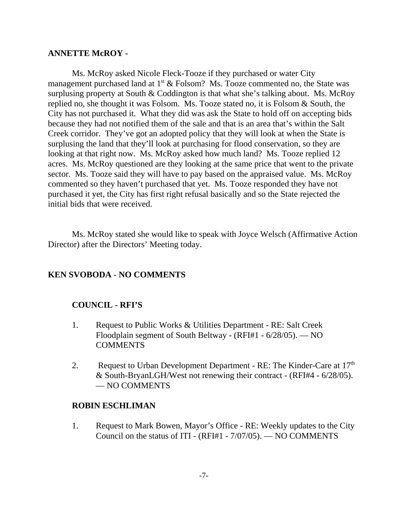#### **ANNETTE McROY -**

Ms. McRoy asked Nicole Fleck-Tooze if they purchased or water City management purchased land at  $1<sup>st</sup>$  & Folsom? Ms. Tooze commented no, the State was surplusing property at South & Coddington is that what she's talking about. Ms. McRoy replied no, she thought it was Folsom. Ms. Tooze stated no, it is Folsom & South, the City has not purchased it. What they did was ask the State to hold off on accepting bids because they had not notified them of the sale and that is an area that's within the Salt Creek corridor. They've got an adopted policy that they will look at when the State is surplusing the land that they'll look at purchasing for flood conservation, so they are looking at that right now. Ms. McRoy asked how much land? Ms. Tooze replied 12 acres. Ms. McRoy questioned are they looking at the same price that went to the private sector. Ms. Tooze said they will have to pay based on the appraised value. Ms. McRoy commented so they haven't purchased that yet. Ms. Tooze responded they have not purchased it yet, the City has first right refusal basically and so the State rejected the initial bids that were received.

Ms. McRoy stated she would like to speak with Joyce Welsch (Affirmative Action Director) after the Directors' Meeting today.

### **KEN SVOBODA - NO COMMENTS**

### **COUNCIL - RFI'S**

- 1. Request to Public Works & Utilities Department RE: Salt Creek Floodplain segment of South Beltway - (RFI#1 - 6/28/05). — NO **COMMENTS**
- 2. Request to Urban Development Department RE: The Kinder-Care at  $17<sup>th</sup>$ & South-BryanLGH/West not renewing their contract - (RFI#4 - 6/28/05). — NO COMMENTS

### **ROBIN ESCHLIMAN**

1. Request to Mark Bowen, Mayor's Office - RE: Weekly updates to the City Council on the status of ITI - (RFI#1 - 7/07/05). — NO COMMENTS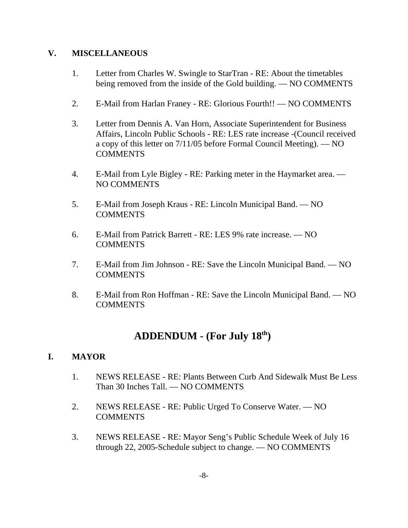### **V. MISCELLANEOUS**

- 1. Letter from Charles W. Swingle to StarTran RE: About the timetables being removed from the inside of the Gold building. — NO COMMENTS
- 2. E-Mail from Harlan Franey RE: Glorious Fourth!! NO COMMENTS
- 3. Letter from Dennis A. Van Horn, Associate Superintendent for Business Affairs, Lincoln Public Schools - RE: LES rate increase -(Council received a copy of this letter on 7/11/05 before Formal Council Meeting). — NO **COMMENTS**
- 4. E-Mail from Lyle Bigley RE: Parking meter in the Haymarket area. NO COMMENTS
- 5. E-Mail from Joseph Kraus RE: Lincoln Municipal Band. NO **COMMENTS**
- 6. E-Mail from Patrick Barrett RE: LES 9% rate increase. NO COMMENTS
- 7. E-Mail from Jim Johnson RE: Save the Lincoln Municipal Band. NO **COMMENTS**
- 8. E-Mail from Ron Hoffman RE: Save the Lincoln Municipal Band. NO **COMMENTS**

# **ADDENDUM - (For July 18th)**

# **I. MAYOR**

- 1. NEWS RELEASE RE: Plants Between Curb And Sidewalk Must Be Less Than 30 Inches Tall. — NO COMMENTS
- 2. NEWS RELEASE RE: Public Urged To Conserve Water. NO COMMENTS
- 3. NEWS RELEASE RE: Mayor Seng's Public Schedule Week of July 16 through 22, 2005-Schedule subject to change. — NO COMMENTS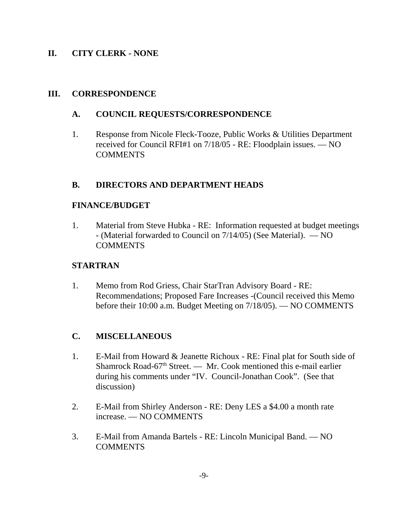### **II. CITY CLERK - NONE**

### **III. CORRESPONDENCE**

### **A. COUNCIL REQUESTS/CORRESPONDENCE**

1. Response from Nicole Fleck-Tooze, Public Works & Utilities Department received for Council RFI#1 on 7/18/05 - RE: Floodplain issues. — NO **COMMENTS** 

### **B. DIRECTORS AND DEPARTMENT HEADS**

### **FINANCE/BUDGET**

1. Material from Steve Hubka - RE: Information requested at budget meetings - (Material forwarded to Council on 7/14/05) (See Material). — NO COMMENTS

### **STARTRAN**

1. Memo from Rod Griess, Chair StarTran Advisory Board - RE: Recommendations; Proposed Fare Increases -(Council received this Memo before their 10:00 a.m. Budget Meeting on 7/18/05). — NO COMMENTS

### **C. MISCELLANEOUS**

- 1. E-Mail from Howard & Jeanette Richoux RE: Final plat for South side of Shamrock Road-67<sup>th</sup> Street. — Mr. Cook mentioned this e-mail earlier during his comments under "IV. Council-Jonathan Cook". (See that discussion)
- 2. E-Mail from Shirley Anderson RE: Deny LES a \$4.00 a month rate increase. — NO COMMENTS
- 3. E-Mail from Amanda Bartels RE: Lincoln Municipal Band. NO **COMMENTS**